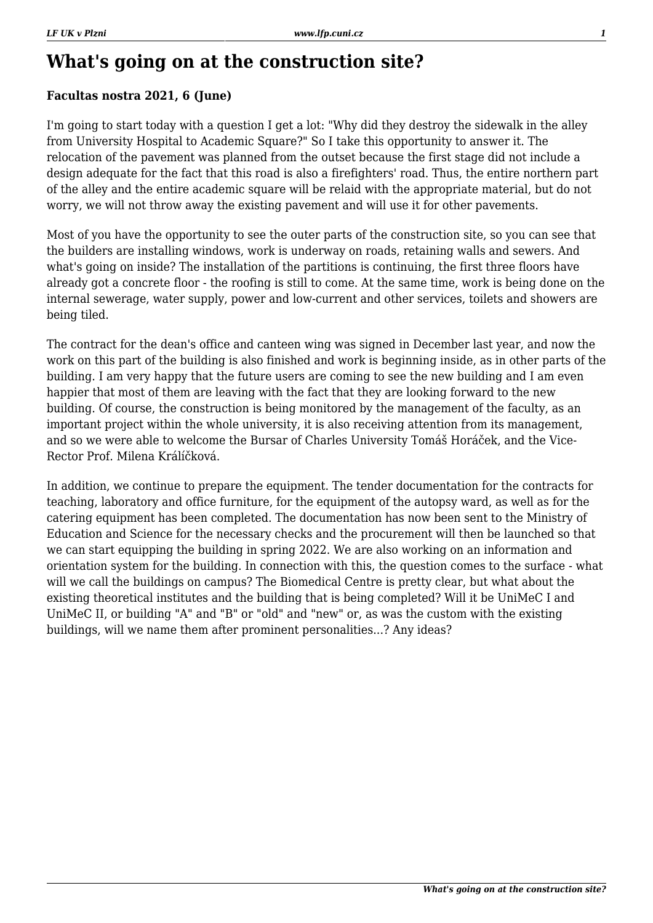## **What's going on at the construction site?**

## **Facultas nostra 2021, 6 (June)**

I'm going to start today with a question I get a lot: "Why did they destroy the sidewalk in the alley from University Hospital to Academic Square?" So I take this opportunity to answer it. The relocation of the pavement was planned from the outset because the first stage did not include a design adequate for the fact that this road is also a firefighters' road. Thus, the entire northern part of the alley and the entire academic square will be relaid with the appropriate material, but do not worry, we will not throw away the existing pavement and will use it for other pavements.

Most of you have the opportunity to see the outer parts of the construction site, so you can see that the builders are installing windows, work is underway on roads, retaining walls and sewers. And what's going on inside? The installation of the partitions is continuing, the first three floors have already got a concrete floor - the roofing is still to come. At the same time, work is being done on the internal sewerage, water supply, power and low-current and other services, toilets and showers are being tiled.

The contract for the dean's office and canteen wing was signed in December last year, and now the work on this part of the building is also finished and work is beginning inside, as in other parts of the building. I am very happy that the future users are coming to see the new building and I am even happier that most of them are leaving with the fact that they are looking forward to the new building. Of course, the construction is being monitored by the management of the faculty, as an important project within the whole university, it is also receiving attention from its management, and so we were able to welcome the Bursar of Charles University Tomáš Horáček, and the Vice-Rector Prof. Milena Králíčková.

In addition, we continue to prepare the equipment. The tender documentation for the contracts for teaching, laboratory and office furniture, for the equipment of the autopsy ward, as well as for the catering equipment has been completed. The documentation has now been sent to the Ministry of Education and Science for the necessary checks and the procurement will then be launched so that we can start equipping the building in spring 2022. We are also working on an information and orientation system for the building. In connection with this, the question comes to the surface - what will we call the buildings on campus? The Biomedical Centre is pretty clear, but what about the existing theoretical institutes and the building that is being completed? Will it be UniMeC I and UniMeC II, or building "A" and "B" or "old" and "new" or, as was the custom with the existing buildings, will we name them after prominent personalities...? Any ideas?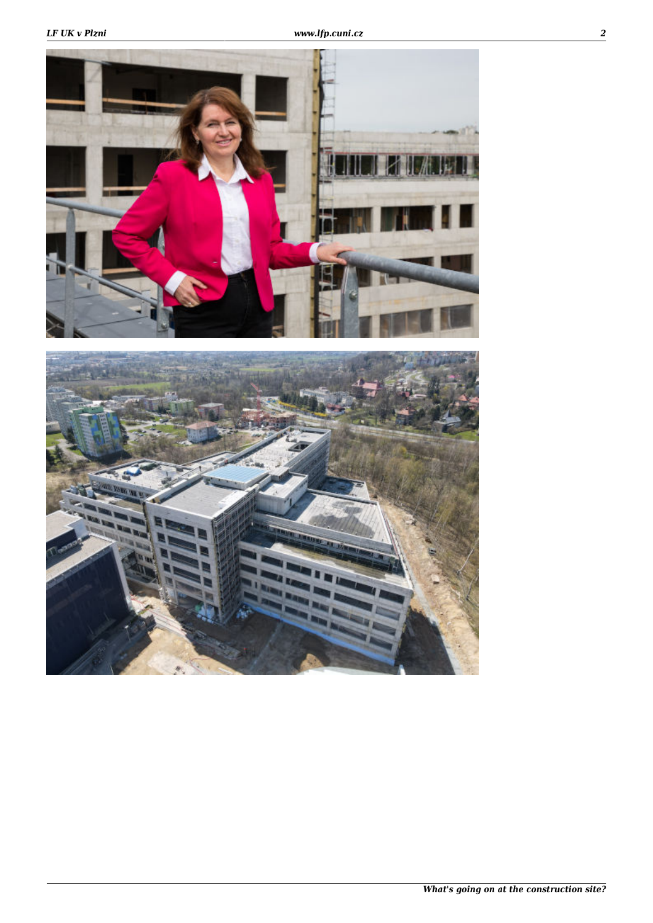